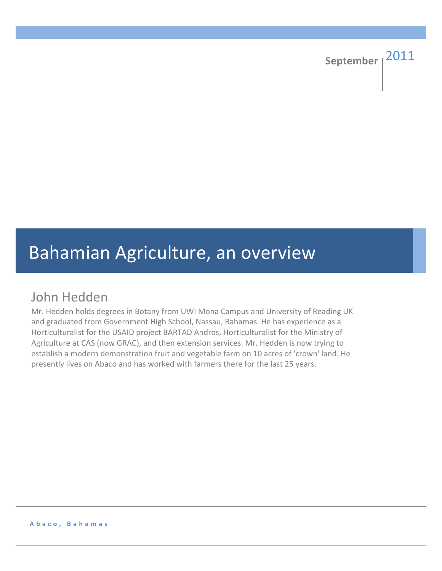# Bahamian Agriculture, an overview

# John Hedden

Mr. Hedden holds degrees in Botany from UWI Mona Campus and University of Reading UK and graduated from Government High School, Nassau, Bahamas. He has experience as a Horticulturalist for the USAID project BARTAD Andros, Horticulturalist for the Ministry of Agriculture at CAS (now GRAC), and then extension services. Mr. Hedden is now trying to establish a modern demonstration fruit and vegetable farm on 10 acres of 'crown' land. He presently lives on Abaco and has worked with farmers there for the last 25 years.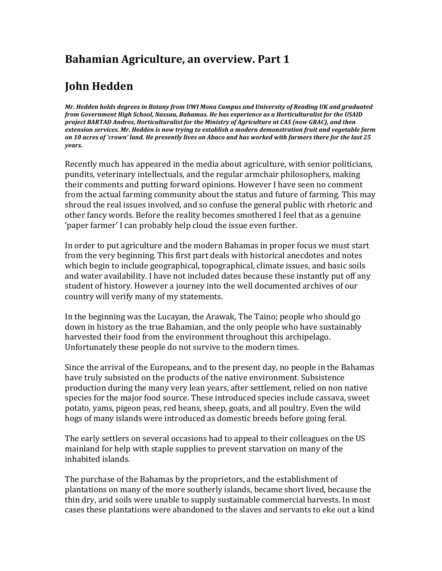#### **Bahamian Agriculture, an overview. Part 1**

# **John!Hedden**

*Mr.\$Hedden\$holds\$degrees\$in\$Botany\$from\$UWI\$Mona\$Campus\$and\$University\$of\$Reading\$UK\$and\$graduated\$ from Government High School, Nassau, Bahamas. He has experience as a Horticulturalist for the USAID project BARTAD Andros, Horticulturalist for the Ministry of Agriculture at CAS (now GRAC), and then extension services. Mr. Hedden is now trying to establish a modern demonstration fruit and vegetable farm* on 10 acres of 'crown' land. He presently lives on Abaco and has worked with farmers there for the last 25 *years.*

Recently much has appeared in the media about agriculture, with senior politicians, pundits, veterinary intellectuals, and the regular armchair philosophers, making their comments and putting forward opinions. However I have seen no comment from the actual farming community about the status and future of farming. This may shroud the real issues involved, and so confuse the general public with rhetoric and other fancy words. Before the reality becomes smothered I feel that as a genuine 'paper farmer' I can probably help cloud the issue even further.

In order to put agriculture and the modern Bahamas in proper focus we must start from the very beginning. This first part deals with historical anecdotes and notes which begin to include geographical, topographical, climate issues, and basic soils and water availability. I have not included dates because these instantly put off any student of history. However a journey into the well documented archives of our country will verify many of my statements.

In the beginning was the Lucayan, the Arawak, The Taino; people who should go down in history as the true Bahamian, and the only people who have sustainably harvested their food from the environment throughout this archipelago. Unfortunately these people do not survive to the modern times.

Since the arrival of the Europeans, and to the present day, no people in the Bahamas have truly subsisted on the products of the native environment. Subsistence production during the many very lean years, after settlement, relied on non native species for the major food source. These introduced species include cassava, sweet potato, yams, pigeon peas, red beans, sheep, goats, and all poultry. Even the wild hogs of many islands were introduced as domestic breeds before going feral.

The early settlers on several occasions had to appeal to their colleagues on the US mainland for help with staple supplies to prevent starvation on many of the inhabited islands.

The purchase of the Bahamas by the proprietors, and the establishment of plantations on many of the more southerly islands, became short lived, because the thin dry, arid soils were unable to supply sustainable commercial harvests. In most cases these plantations were abandoned to the slaves and servants to eke out a kind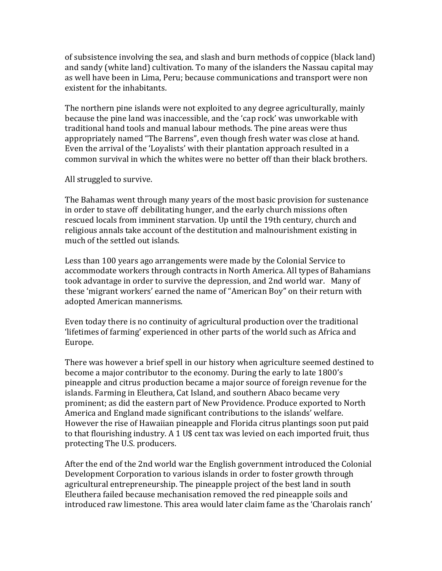of subsistence involving the sea, and slash and burn methods of coppice (black land) and sandy (white land) cultivation. To many of the islanders the Nassau capital may as well have been in Lima, Peru; because communications and transport were non existent for the inhabitants.

The northern pine islands were not exploited to any degree agriculturally, mainly because the pine land was inaccessible, and the 'cap rock' was unworkable with traditional hand tools and manual labour methods. The pine areas were thus appropriately named "The Barrens", even though fresh water was close at hand. Even the arrival of the 'Loyalists' with their plantation approach resulted in a common survival in which the whites were no better off than their black brothers.

#### All struggled to survive.

The Bahamas went through many years of the most basic provision for sustenance in order to stave off debilitating hunger, and the early church missions often rescued locals from imminent starvation. Up until the 19th century, church and religious annals take account of the destitution and malnourishment existing in much of the settled out islands.

Less than 100 years ago arrangements were made by the Colonial Service to accommodate workers through contracts in North America. All types of Bahamians took advantage in order to survive the depression, and 2nd world war. Many of these 'migrant workers' earned the name of "American Boy" on their return with adopted American mannerisms.

Even today there is no continuity of agricultural production over the traditional 'lifetimes of farming' experienced in other parts of the world such as Africa and Europe.

There was however a brief spell in our history when agriculture seemed destined to become a major contributor to the economy. During the early to late 1800's pineapple and citrus production became a major source of foreign revenue for the islands. Farming in Eleuthera, Cat Island, and southern Abaco became very prominent; as did the eastern part of New Providence. Produce exported to North America and England made significant contributions to the islands' welfare. However the rise of Hawaiian pineapple and Florida citrus plantings soon put paid to that flourishing industry. A 1 U\$ cent tax was levied on each imported fruit, thus protecting The U.S. producers.

After the end of the 2nd world war the English government introduced the Colonial Development Corporation to various islands in order to foster growth through agricultural entrepreneurship. The pineapple project of the best land in south Eleuthera failed because mechanisation removed the red pineapple soils and introduced raw limestone. This area would later claim fame as the 'Charolais ranch'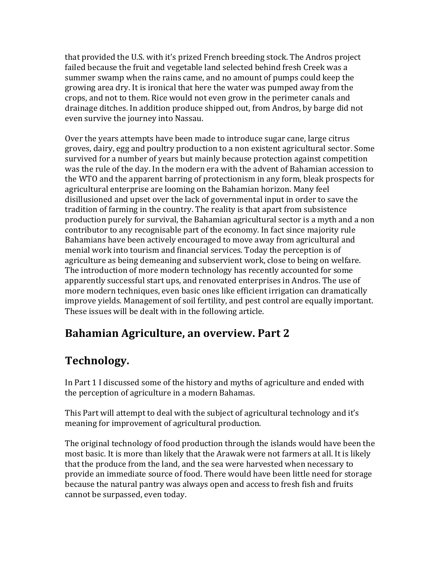that provided the U.S. with it's prized French breeding stock. The Andros project failed because the fruit and vegetable land selected behind fresh Creek was a summer swamp when the rains came, and no amount of pumps could keep the growing area dry. It is ironical that here the water was pumped away from the crops, and not to them. Rice would not even grow in the perimeter canals and drainage ditches. In addition produce shipped out, from Andros, by barge did not even survive the journey into Nassau.

Over the years attempts have been made to introduce sugar cane, large citrus groves, dairy, egg and poultry production to a non existent agricultural sector. Some survived for a number of years but mainly because protection against competition was the rule of the day. In the modern era with the advent of Bahamian accession to the WTO and the apparent barring of protectionism in any form, bleak prospects for agricultural enterprise are looming on the Bahamian horizon. Many feel disillusioned and upset over the lack of governmental input in order to save the tradition of farming in the country. The reality is that apart from subsistence production purely for survival, the Bahamian agricultural sector is a myth and a non contributor to any recognisable part of the economy. In fact since majority rule Bahamians have been actively encouraged to move away from agricultural and menial work into tourism and financial services. Today the perception is of agriculture as being demeaning and subservient work, close to being on welfare. The introduction of more modern technology has recently accounted for some apparently successful start ups, and renovated enterprises in Andros. The use of more modern techniques, even basic ones like efficient irrigation can dramatically improve yields. Management of soil fertility, and pest control are equally important. These issues will be dealt with in the following article.

#### **Bahamian Agriculture, an overview. Part 2**

# **Technology.**

In Part 1 I discussed some of the history and myths of agriculture and ended with the perception of agriculture in a modern Bahamas.

This Part will attempt to deal with the subject of agricultural technology and it's meaning for improvement of agricultural production.

The original technology of food production through the islands would have been the most basic. It is more than likely that the Arawak were not farmers at all. It is likely that the produce from the land, and the sea were harvested when necessary to provide an immediate source of food. There would have been little need for storage because the natural pantry was always open and access to fresh fish and fruits cannot be surpassed, even today.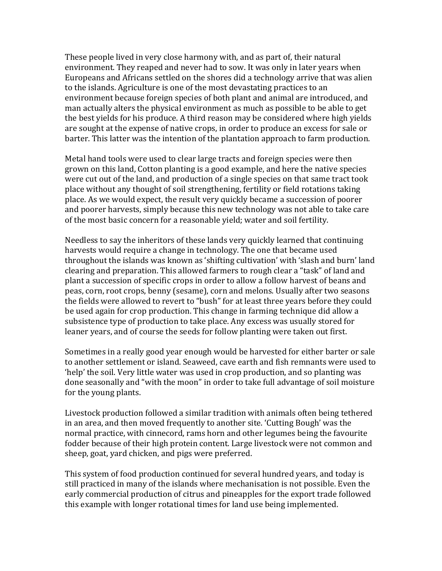These people lived in very close harmony with, and as part of, their natural environment. They reaped and never had to sow. It was only in later years when Europeans and Africans settled on the shores did a technology arrive that was alien to the islands. Agriculture is one of the most devastating practices to an environment because foreign species of both plant and animal are introduced, and man actually alters the physical environment as much as possible to be able to get the best yields for his produce. A third reason may be considered where high yields are sought at the expense of native crops, in order to produce an excess for sale or barter. This latter was the intention of the plantation approach to farm production.

Metal hand tools were used to clear large tracts and foreign species were then grown on this land, Cotton planting is a good example, and here the native species were cut out of the land, and production of a single species on that same tract took place without any thought of soil strengthening, fertility or field rotations taking place. As we would expect, the result very quickly became a succession of poorer and poorer harvests, simply because this new technology was not able to take care of the most basic concern for a reasonable yield; water and soil fertility.

Needless to say the inheritors of these lands very quickly learned that continuing harvests would require a change in technology. The one that became used throughout the islands was known as 'shifting cultivation' with 'slash and burn' land clearing and preparation. This allowed farmers to rough clear a "task" of land and plant a succession of specific crops in order to allow a follow harvest of beans and peas, corn, root crops, benny (sesame), corn and melons. Usually after two seasons the fields were allowed to revert to "bush" for at least three years before they could be used again for crop production. This change in farming technique did allow a subsistence type of production to take place. Any excess was usually stored for leaner years, and of course the seeds for follow planting were taken out first.

Sometimes in a really good year enough would be harvested for either barter or sale to another settlement or island. Seaweed, cave earth and fish remnants were used to 'help' the soil. Very little water was used in crop production, and so planting was done seasonally and "with the moon" in order to take full advantage of soil moisture for the young plants.

Livestock production followed a similar tradition with animals often being tethered in an area, and then moved frequently to another site. 'Cutting Bough' was the normal practice, with cinnecord, rams horn and other legumes being the favourite fodder because of their high protein content. Large livestock were not common and sheep, goat, yard chicken, and pigs were preferred.

This system of food production continued for several hundred years, and today is still practiced in many of the islands where mechanisation is not possible. Even the early commercial production of citrus and pineapples for the export trade followed this example with longer rotational times for land use being implemented.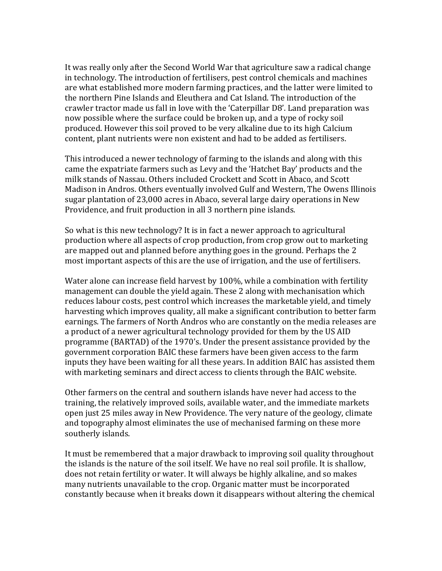It was really only after the Second World War that agriculture saw a radical change in technology. The introduction of fertilisers, pest control chemicals and machines are what established more modern farming practices, and the latter were limited to the northern Pine Islands and Eleuthera and Cat Island. The introduction of the crawler tractor made us fall in love with the 'Caterpillar D8'. Land preparation was now possible where the surface could be broken up, and a type of rocky soil produced. However this soil proved to be very alkaline due to its high Calcium content, plant nutrients were non existent and had to be added as fertilisers.

This introduced a newer technology of farming to the islands and along with this came the expatriate farmers such as Levy and the 'Hatchet Bay' products and the milk stands of Nassau. Others included Crockett and Scott in Abaco, and Scott Madison in Andros. Others eventually involved Gulf and Western, The Owens Illinois sugar plantation of 23,000 acres in Abaco, several large dairy operations in New Providence, and fruit production in all 3 northern pine islands.

So what is this new technology? It is in fact a newer approach to agricultural production where all aspects of crop production, from crop grow out to marketing are mapped out and planned before anything goes in the ground. Perhaps the 2 most important aspects of this are the use of irrigation, and the use of fertilisers.

Water alone can increase field harvest by  $100\%$ , while a combination with fertility management can double the yield again. These 2 along with mechanisation which reduces labour costs, pest control which increases the marketable yield, and timely harvesting which improves quality, all make a significant contribution to better farm earnings. The farmers of North Andros who are constantly on the media releases are a product of a newer agricultural technology provided for them by the US AID programme (BARTAD) of the 1970's. Under the present assistance provided by the government corporation BAIC these farmers have been given access to the farm inputs they have been waiting for all these years. In addition BAIC has assisted them with marketing seminars and direct access to clients through the BAIC website.

Other farmers on the central and southern islands have never had access to the training, the relatively improved soils, available water, and the immediate markets open just 25 miles away in New Providence. The very nature of the geology, climate and topography almost eliminates the use of mechanised farming on these more southerly islands.

It must be remembered that a major drawback to improving soil quality throughout the islands is the nature of the soil itself. We have no real soil profile. It is shallow, does not retain fertility or water. It will always be highly alkaline, and so makes many nutrients unavailable to the crop. Organic matter must be incorporated constantly because when it breaks down it disappears without altering the chemical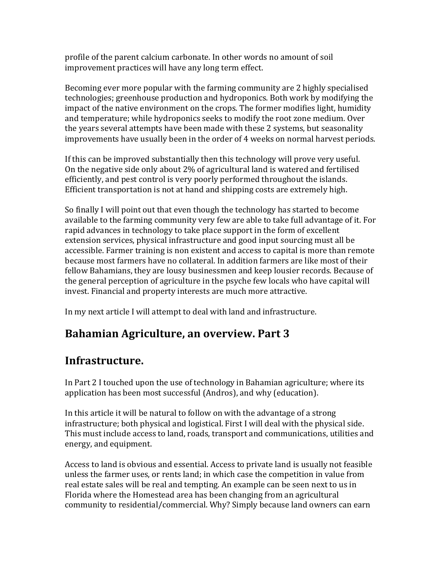profile of the parent calcium carbonate. In other words no amount of soil improvement practices will have any long term effect.

Becoming ever more popular with the farming community are 2 highly specialised technologies; greenhouse production and hydroponics. Both work by modifying the impact of the native environment on the crops. The former modifies light, humidity and temperature; while hydroponics seeks to modify the root zone medium. Over the years several attempts have been made with these 2 systems, but seasonality improvements have usually been in the order of 4 weeks on normal harvest periods.

If this can be improved substantially then this technology will prove very useful. On the negative side only about 2% of agricultural land is watered and fertilised efficiently, and pest control is very poorly performed throughout the islands. Efficient transportation is not at hand and shipping costs are extremely high.

So finally I will point out that even though the technology has started to become available to the farming community very few are able to take full advantage of it. For rapid advances in technology to take place support in the form of excellent extension services, physical infrastructure and good input sourcing must all be accessible. Farmer training is non existent and access to capital is more than remote because most farmers have no collateral. In addition farmers are like most of their fellow Bahamians, they are lousy businessmen and keep lousier records. Because of the general perception of agriculture in the psyche few locals who have capital will invest. Financial and property interests are much more attractive.

In my next article I will attempt to deal with land and infrastructure.

# **Bahamian Agriculture, an overview. Part 3**

#### **Infrastructure.**

In Part 2 I touched upon the use of technology in Bahamian agriculture; where its application has been most successful (Andros), and why (education).

In this article it will be natural to follow on with the advantage of a strong infrastructure; both physical and logistical. First I will deal with the physical side. This must include access to land, roads, transport and communications, utilities and energy, and equipment.

Access to land is obvious and essential. Access to private land is usually not feasible unless the farmer uses, or rents land; in which case the competition in value from real estate sales will be real and tempting. An example can be seen next to us in Florida where the Homestead area has been changing from an agricultural community to residential/commercial. Why? Simply because land owners can earn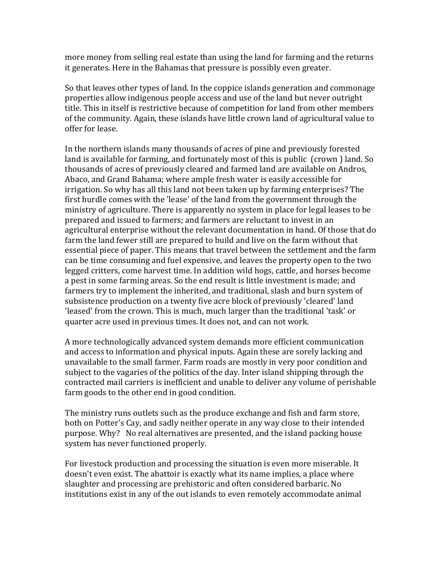more money from selling real estate than using the land for farming and the returns it generates. Here in the Bahamas that pressure is possibly even greater.

So that leaves other types of land. In the coppice islands generation and commonage properties allow indigenous people access and use of the land but never outright title. This in itself is restrictive because of competition for land from other members of the community. Again, these islands have little crown land of agricultural value to offer for lease.

In the northern islands many thousands of acres of pine and previously forested land is available for farming, and fortunately most of this is public (crown) land. So thousands of acres of previously cleared and farmed land are available on Andros, Abaco, and Grand Bahama; where ample fresh water is easily accessible for irrigation. So why has all this land not been taken up by farming enterprises? The first hurdle comes with the 'lease' of the land from the government through the ministry of agriculture. There is apparently no system in place for legal leases to be prepared and issued to farmers; and farmers are reluctant to invest in an agricultural enterprise without the relevant documentation in hand. Of those that do farm the land fewer still are prepared to build and live on the farm without that essential piece of paper. This means that travel between the settlement and the farm can be time consuming and fuel expensive, and leaves the property open to the two legged critters, come harvest time. In addition wild hogs, cattle, and horses become a pest in some farming areas. So the end result is little investment is made; and farmers try to implement the inherited, and traditional, slash and burn system of subsistence production on a twenty five acre block of previously 'cleared' land 'leased' from the crown. This is much, much larger than the traditional 'task' or quarter acre used in previous times. It does not, and can not work.

A more technologically advanced system demands more efficient communication and access to information and physical inputs. Again these are sorely lacking and unavailable to the small farmer. Farm roads are mostly in very poor condition and subject to the vagaries of the politics of the day. Inter island shipping through the contracted mail carriers is inefficient and unable to deliver any volume of perishable farm goods to the other end in good condition.

The ministry runs outlets such as the produce exchange and fish and farm store, both on Potter's Cay, and sadly neither operate in any way close to their intended purpose. Why? No real alternatives are presented, and the island packing house system has never functioned properly.

For livestock production and processing the situation is even more miserable. It doesn't even exist. The abattoir is exactly what its name implies, a place where slaughter and processing are prehistoric and often considered barbaric. No institutions exist in any of the out islands to even remotely accommodate animal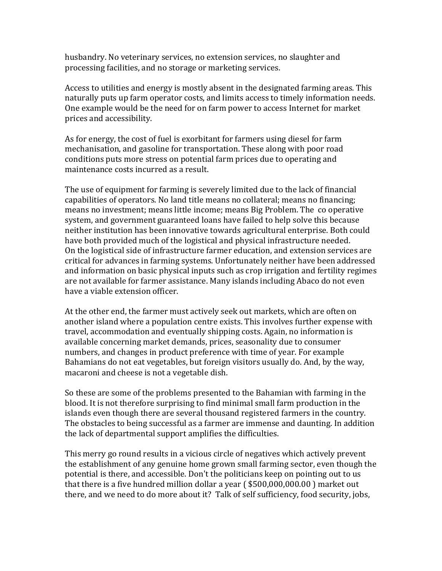husbandry. No veterinary services, no extension services, no slaughter and processing facilities, and no storage or marketing services.

Access to utilities and energy is mostly absent in the designated farming areas. This naturally puts up farm operator costs, and limits access to timely information needs. One example would be the need for on farm power to access Internet for market prices and accessibility.

As for energy, the cost of fuel is exorbitant for farmers using diesel for farm mechanisation, and gasoline for transportation. These along with poor road conditions puts more stress on potential farm prices due to operating and maintenance costs incurred as a result.

The use of equipment for farming is severely limited due to the lack of financial capabilities of operators. No land title means no collateral; means no financing; means no investment; means little income; means Big Problem. The co operative system, and government guaranteed loans have failed to help solve this because neither institution has been innovative towards agricultural enterprise. Both could have both provided much of the logistical and physical infrastructure needed. On the logistical side of infrastructure farmer education, and extension services are critical for advances in farming systems. Unfortunately neither have been addressed and information on basic physical inputs such as crop irrigation and fertility regimes are not available for farmer assistance. Many islands including Abaco do not even have a viable extension officer.

At the other end, the farmer must actively seek out markets, which are often on another island where a population centre exists. This involves further expense with travel, accommodation and eventually shipping costs. Again, no information is available concerning market demands, prices, seasonality due to consumer numbers, and changes in product preference with time of year. For example Bahamians do not eat vegetables, but foreign visitors usually do. And, by the way, macaroni and cheese is not a vegetable dish.

So these are some of the problems presented to the Bahamian with farming in the blood. It is not therefore surprising to find minimal small farm production in the islands even though there are several thousand registered farmers in the country. The obstacles to being successful as a farmer are immense and daunting. In addition the lack of departmental support amplifies the difficulties.

This merry go round results in a vicious circle of negatives which actively prevent the establishment of any genuine home grown small farming sector, even though the potential is there, and accessible. Don't the politicians keep on pointing out to us that there is a five hundred million dollar a year ( $$500,000,000.00$ ) market out there, and we need to do more about it? Talk of self sufficiency, food security, jobs,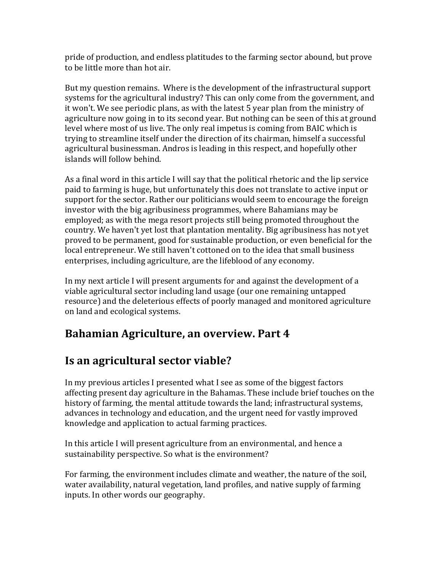pride of production, and endless platitudes to the farming sector abound, but prove to be little more than hot air.

But my question remains. Where is the development of the infrastructural support systems for the agricultural industry? This can only come from the government, and it won't. We see periodic plans, as with the latest 5 year plan from the ministry of agriculture now going in to its second year. But nothing can be seen of this at ground level where most of us live. The only real impetus is coming from BAIC which is trying to streamline itself under the direction of its chairman, himself a successful agricultural businessman. Andros is leading in this respect, and hopefully other islands will follow behind.

As a final word in this article I will say that the political rhetoric and the lip service paid to farming is huge, but unfortunately this does not translate to active input or support for the sector. Rather our politicians would seem to encourage the foreign investor with the big agribusiness programmes, where Bahamians may be employed; as with the mega resort projects still being promoted throughout the country. We haven't yet lost that plantation mentality. Big agribusiness has not yet proved to be permanent, good for sustainable production, or even beneficial for the local entrepreneur. We still haven't cottoned on to the idea that small business enterprises, including agriculture, are the lifeblood of any economy.

In my next article I will present arguments for and against the development of a viable agricultural sector including land usage (our one remaining untapped resource) and the deleterious effects of poorly managed and monitored agriculture on land and ecological systems.

#### **Bahamian Agriculture, an overview. Part 4**

#### **Is an agricultural sector viable?**

In my previous articles I presented what I see as some of the biggest factors affecting present day agriculture in the Bahamas. These include brief touches on the history of farming, the mental attitude towards the land; infrastructural systems, advances in technology and education, and the urgent need for vastly improved knowledge and application to actual farming practices.

In this article I will present agriculture from an environmental, and hence a sustainability perspective. So what is the environment?

For farming, the environment includes climate and weather, the nature of the soil, water availability, natural vegetation, land profiles, and native supply of farming inputs. In other words our geography.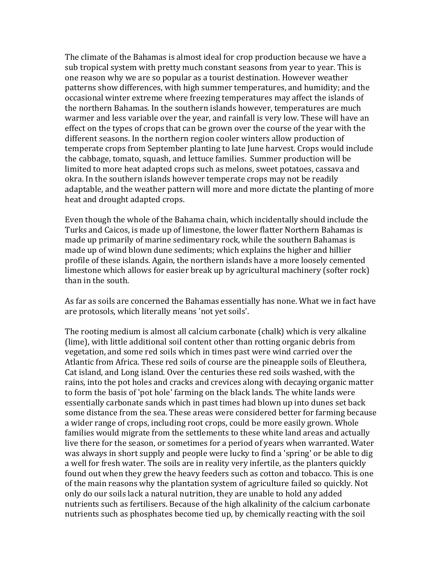The climate of the Bahamas is almost ideal for crop production because we have a sub tropical system with pretty much constant seasons from year to year. This is one reason why we are so popular as a tourist destination. However weather patterns show differences, with high summer temperatures, and humidity; and the occasional winter extreme where freezing temperatures may affect the islands of the northern Bahamas. In the southern islands however, temperatures are much warmer and less variable over the year, and rainfall is very low. These will have an effect on the types of crops that can be grown over the course of the year with the different seasons. In the northern region cooler winters allow production of temperate crops from September planting to late June harvest. Crops would include the cabbage, tomato, squash, and lettuce families. Summer production will be limited to more heat adapted crops such as melons, sweet potatoes, cassava and okra. In the southern islands however temperate crops may not be readily adaptable, and the weather pattern will more and more dictate the planting of more heat and drought adapted crops.

Even though the whole of the Bahama chain, which incidentally should include the Turks and Caicos, is made up of limestone, the lower flatter Northern Bahamas is made up primarily of marine sedimentary rock, while the southern Bahamas is made up of wind blown dune sediments; which explains the higher and hillier profile of these islands. Again, the northern islands have a more loosely cemented limestone which allows for easier break up by agricultural machinery (softer rock) than in the south.

As far as soils are concerned the Bahamas essentially has none. What we in fact have are protosols, which literally means 'not yet soils'.

The rooting medium is almost all calcium carbonate (chalk) which is very alkaline (lime), with little additional soil content other than rotting organic debris from vegetation, and some red soils which in times past were wind carried over the Atlantic from Africa. These red soils of course are the pineapple soils of Eleuthera, Cat island, and Long island. Over the centuries these red soils washed, with the rains, into the pot holes and cracks and crevices along with decaying organic matter to form the basis of 'pot hole' farming on the black lands. The white lands were essentially carbonate sands which in past times had blown up into dunes set back some distance from the sea. These areas were considered better for farming because a wider range of crops, including root crops, could be more easily grown. Whole families would migrate from the settlements to these white land areas and actually live there for the season, or sometimes for a period of years when warranted. Water was always in short supply and people were lucky to find a 'spring' or be able to dig a well for fresh water. The soils are in reality very infertile, as the planters quickly found out when they grew the heavy feeders such as cotton and tobacco. This is one of the main reasons why the plantation system of agriculture failed so quickly. Not only do our soils lack a natural nutrition, they are unable to hold any added nutrients such as fertilisers. Because of the high alkalinity of the calcium carbonate nutrients such as phosphates become tied up, by chemically reacting with the soil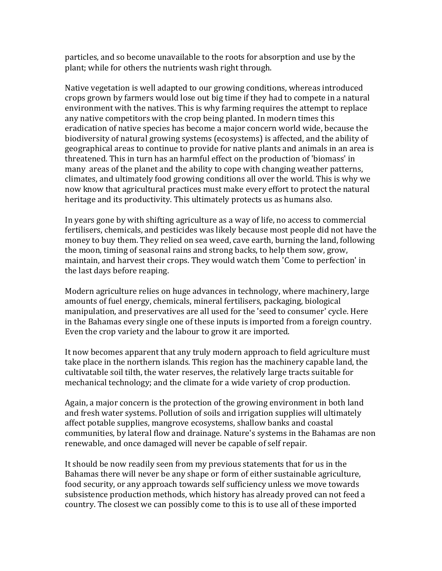particles, and so become unavailable to the roots for absorption and use by the plant; while for others the nutrients wash right through.

Native vegetation is well adapted to our growing conditions, whereas introduced crops grown by farmers would lose out big time if they had to compete in a natural environment with the natives. This is why farming requires the attempt to replace any native competitors with the crop being planted. In modern times this eradication of native species has become a major concern world wide, because the biodiversity of natural growing systems (ecosystems) is affected, and the ability of geographical areas to continue to provide for native plants and animals in an area is threatened. This in turn has an harmful effect on the production of 'biomass' in many areas of the planet and the ability to cope with changing weather patterns, climates, and ultimately food growing conditions all over the world. This is why we now know that agricultural practices must make every effort to protect the natural heritage and its productivity. This ultimately protects us as humans also.

In years gone by with shifting agriculture as a way of life, no access to commercial fertilisers, chemicals, and pesticides was likely because most people did not have the money to buy them. They relied on sea weed, cave earth, burning the land, following the moon, timing of seasonal rains and strong backs, to help them sow, grow, maintain, and harvest their crops. They would watch them 'Come to perfection' in the last days before reaping.

Modern agriculture relies on huge advances in technology, where machinery, large amounts of fuel energy, chemicals, mineral fertilisers, packaging, biological manipulation, and preservatives are all used for the 'seed to consumer' cycle. Here in the Bahamas every single one of these inputs is imported from a foreign country. Even the crop variety and the labour to grow it are imported.

It now becomes apparent that any truly modern approach to field agriculture must take place in the northern islands. This region has the machinery capable land, the cultivatable soil tilth, the water reserves, the relatively large tracts suitable for mechanical technology; and the climate for a wide variety of crop production.

Again, a major concern is the protection of the growing environment in both land and fresh water systems. Pollution of soils and irrigation supplies will ultimately affect potable supplies, mangrove ecosystems, shallow banks and coastal communities, by lateral flow and drainage. Nature's systems in the Bahamas are non renewable, and once damaged will never be capable of self repair.

It should be now readily seen from my previous statements that for us in the Bahamas there will never be any shape or form of either sustainable agriculture, food security, or any approach towards self sufficiency unless we move towards subsistence production methods, which history has already proved can not feed a country. The closest we can possibly come to this is to use all of these imported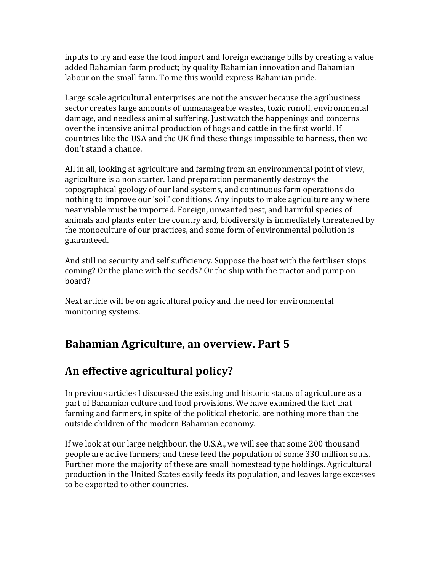inputs to try and ease the food import and foreign exchange bills by creating a value added Bahamian farm product; by quality Bahamian innovation and Bahamian labour on the small farm. To me this would express Bahamian pride.

Large scale agricultural enterprises are not the answer because the agribusiness  $\overline{\phantom{a}}$ sector creates large amounts of unmanageable wastes, toxic runoff, environmental damage, and needless animal suffering. Just watch the happenings and concerns over the intensive animal production of hogs and cattle in the first world. If countries like the USA and the UK find these things impossible to harness, then we don't stand a chance.

All in all, looking at agriculture and farming from an environmental point of view, agriculture is a non starter. Land preparation permanently destroys the topographical geology of our land systems, and continuous farm operations do nothing to improve our 'soil' conditions. Any inputs to make agriculture any where near viable must be imported. Foreign, unwanted pest, and harmful species of animals and plants enter the country and, biodiversity is immediately threatened by the monoculture of our practices, and some form of environmental pollution is guaranteed.

And still no security and self sufficiency. Suppose the boat with the fertiliser stops coming? Or the plane with the seeds? Or the ship with the tractor and pump on board?

Next article will be on agricultural policy and the need for environmental monitoring systems.

# **Bahamian Agriculture, an overview. Part 5**

# An effective agricultural policy?

In previous articles I discussed the existing and historic status of agriculture as a part of Bahamian culture and food provisions. We have examined the fact that farming and farmers, in spite of the political rhetoric, are nothing more than the outside children of the modern Bahamian economy.

If we look at our large neighbour, the U.S.A., we will see that some 200 thousand people are active farmers; and these feed the population of some 330 million souls. Further more the majority of these are small homestead type holdings. Agricultural production in the United States easily feeds its population, and leaves large excesses to be exported to other countries.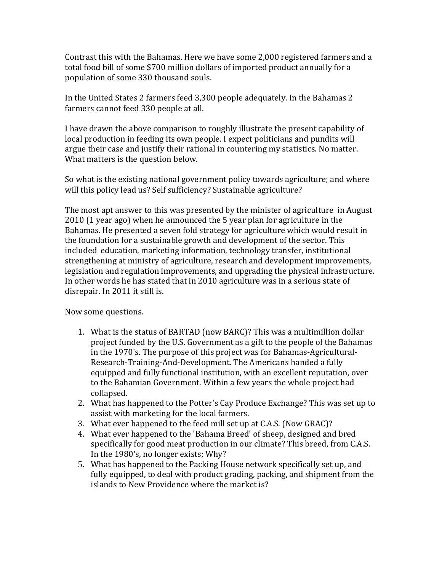Contrast this with the Bahamas. Here we have some 2,000 registered farmers and a total food bill of some \$700 million dollars of imported product annually for a population of some 330 thousand souls.

In the United States 2 farmers feed 3,300 people adequately. In the Bahamas 2 farmers cannot feed 330 people at all.

I have drawn the above comparison to roughly illustrate the present capability of local production in feeding its own people. I expect politicians and pundits will argue their case and justify their rational in countering my statistics. No matter. What matters is the question below.

So what is the existing national government policy towards agriculture; and where will this policy lead us? Self sufficiency? Sustainable agriculture?

The most apt answer to this was presented by the minister of agriculture in August 2010 (1 year ago) when he announced the 5 year plan for agriculture in the Bahamas. He presented a seven fold strategy for agriculture which would result in the foundation for a sustainable growth and development of the sector. This included education, marketing information, technology transfer, institutional strengthening at ministry of agriculture, research and development improvements, legislation and regulation improvements, and upgrading the physical infrastructure. In other words he has stated that in 2010 agriculture was in a serious state of disrepair. In 2011 it still is.

Now some questions.

- 1. What is the status of BARTAD (now BARC)? This was a multimillion dollar project funded by the U.S. Government as a gift to the people of the Bahamas in the 1970's. The purpose of this project was for Bahamas-Agricultural-Research-Training-And-Development. The Americans handed a fully equipped and fully functional institution, with an excellent reputation, over to the Bahamian Government. Within a few years the whole project had collapsed.
- 2. What has happened to the Potter's Cay Produce Exchange? This was set up to assist with marketing for the local farmers.
- 3. What ever happened to the feed mill set up at C.A.S. (Now GRAC)?
- 4. What ever happened to the 'Bahama Breed' of sheep, designed and bred specifically for good meat production in our climate? This breed, from C.A.S. In the 1980's, no longer exists; Why?
- 5. What has happened to the Packing House network specifically set up, and fully equipped, to deal with product grading, packing, and shipment from the islands to New Providence where the market is?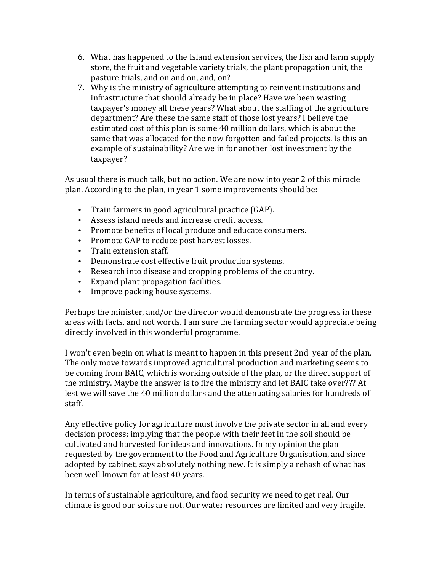- 6. What has happened to the Island extension services, the fish and farm supply store, the fruit and vegetable variety trials, the plant propagation unit, the pasture trials, and on and on, and, on?
- 7. Why is the ministry of agriculture attempting to reinvent institutions and infrastructure that should already be in place? Have we been wasting taxpayer's money all these years? What about the staffing of the agriculture department? Are these the same staff of those lost years? I believe the estimated cost of this plan is some 40 million dollars, which is about the same that was allocated for the now forgotten and failed projects. Is this an example of sustainability? Are we in for another lost investment by the taxpayer?

As usual there is much talk, but no action. We are now into year 2 of this miracle plan. According to the plan, in year 1 some improvements should be:

- Train farmers in good agricultural practice (GAP).
- Assess island needs and increase credit access.
- Promote benefits of local produce and educate consumers.
- Promote GAP to reduce post harvest losses.
- Train extension staff.
- Demonstrate cost effective fruit production systems.
- Research into disease and cropping problems of the country.
- Expand plant propagation facilities.
- Improve packing house systems.

Perhaps the minister, and/or the director would demonstrate the progress in these areas with facts, and not words. I am sure the farming sector would appreciate being directly involved in this wonderful programme.

I won't even begin on what is meant to happen in this present 2nd year of the plan. The only move towards improved agricultural production and marketing seems to be coming from BAIC, which is working outside of the plan, or the direct support of the ministry. Maybe the answer is to fire the ministry and let BAIC take over??? At lest we will save the 40 million dollars and the attenuating salaries for hundreds of staff.

Any effective policy for agriculture must involve the private sector in all and every decision process; implying that the people with their feet in the soil should be cultivated and harvested for ideas and innovations. In my opinion the plan requested by the government to the Food and Agriculture Organisation, and since adopted by cabinet, says absolutely nothing new. It is simply a rehash of what has been well known for at least 40 years.

In terms of sustainable agriculture, and food security we need to get real. Our climate is good our soils are not. Our water resources are limited and very fragile.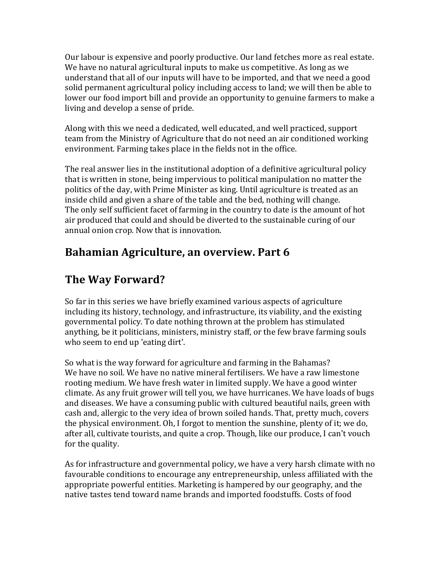Our labour is expensive and poorly productive. Our land fetches more as real estate. We have no natural agricultural inputs to make us competitive. As long as we understand that all of our inputs will have to be imported, and that we need a good solid permanent agricultural policy including access to land; we will then be able to lower our food import bill and provide an opportunity to genuine farmers to make a living and develop a sense of pride.

Along with this we need a dedicated, well educated, and well practiced, support team from the Ministry of Agriculture that do not need an air conditioned working environment. Farming takes place in the fields not in the office.

The real answer lies in the institutional adoption of a definitive agricultural policy that is written in stone, being impervious to political manipulation no matter the politics of the day, with Prime Minister as king. Until agriculture is treated as an inside child and given a share of the table and the bed, nothing will change. The only self sufficient facet of farming in the country to date is the amount of hot air produced that could and should be diverted to the sustainable curing of our annual onion crop. Now that is innovation.

### **Bahamian Agriculture, an overview. Part 6**

#### **The Way Forward?**

So far in this series we have briefly examined various aspects of agriculture including its history, technology, and infrastructure, its viability, and the existing governmental policy. To date nothing thrown at the problem has stimulated anything, be it politicians, ministers, ministry staff, or the few brave farming souls who seem to end up 'eating dirt'.

So what is the way forward for agriculture and farming in the Bahamas? We have no soil. We have no native mineral fertilisers. We have a raw limestone rooting medium. We have fresh water in limited supply. We have a good winter climate. As any fruit grower will tell you, we have hurricanes. We have loads of bugs and diseases. We have a consuming public with cultured beautiful nails, green with cash and, allergic to the very idea of brown soiled hands. That, pretty much, covers the physical environment. Oh, I forgot to mention the sunshine, plenty of it; we do, after all, cultivate tourists, and quite a crop. Though, like our produce, I can't vouch for the quality.

As for infrastructure and governmental policy, we have a very harsh climate with no favourable conditions to encourage any entrepreneurship, unless affiliated with the appropriate powerful entities. Marketing is hampered by our geography, and the native tastes tend toward name brands and imported foodstuffs. Costs of food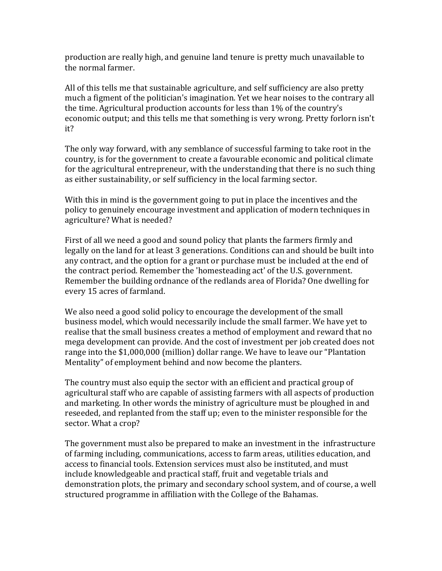production are really high, and genuine land tenure is pretty much unavailable to the normal farmer.

All of this tells me that sustainable agriculture, and self sufficiency are also pretty much a figment of the politician's imagination. Yet we hear noises to the contrary all the time. Agricultural production accounts for less than 1% of the country's economic output; and this tells me that something is very wrong. Pretty forlorn isn't it?

The only way forward, with any semblance of successful farming to take root in the country, is for the government to create a favourable economic and political climate for the agricultural entrepreneur, with the understanding that there is no such thing as either sustainability, or self sufficiency in the local farming sector.

With this in mind is the government going to put in place the incentives and the policy to genuinely encourage investment and application of modern techniques in agriculture? What is needed?

First of all we need a good and sound policy that plants the farmers firmly and legally on the land for at least 3 generations. Conditions can and should be built into any contract, and the option for a grant or purchase must be included at the end of the contract period. Remember the 'homesteading act' of the U.S. government. Remember the building ordnance of the redlands area of Florida? One dwelling for every 15 acres of farmland.

We also need a good solid policy to encourage the development of the small business model, which would necessarily include the small farmer. We have yet to realise that the small business creates a method of employment and reward that no mega development can provide. And the cost of investment per job created does not range into the \$1,000,000 (million) dollar range. We have to leave our "Plantation Mentality" of employment behind and now become the planters.

The country must also equip the sector with an efficient and practical group of agricultural staff who are capable of assisting farmers with all aspects of production and marketing. In other words the ministry of agriculture must be ploughed in and reseeded, and replanted from the staff up; even to the minister responsible for the sector. What a crop?

The government must also be prepared to make an investment in the infrastructure of farming including, communications, access to farm areas, utilities education, and access to financial tools. Extension services must also be instituted, and must include knowledgeable and practical staff, fruit and vegetable trials and demonstration plots, the primary and secondary school system, and of course, a well structured programme in affiliation with the College of the Bahamas.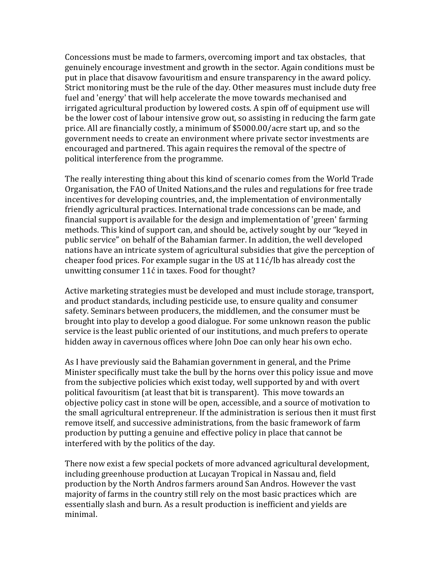Concessions must be made to farmers, overcoming import and tax obstacles, that genuinely encourage investment and growth in the sector. Again conditions must be put in place that disavow favouritism and ensure transparency in the award policy. Strict monitoring must be the rule of the day. Other measures must include duty free fuel and 'energy' that will help accelerate the move towards mechanised and irrigated agricultural production by lowered costs. A spin off of equipment use will be the lower cost of labour intensive grow out, so assisting in reducing the farm gate price. All are financially costly, a minimum of \$5000.00/acre start up, and so the government needs to create an environment where private sector investments are encouraged and partnered. This again requires the removal of the spectre of political interference from the programme.

The really interesting thing about this kind of scenario comes from the World Trade Organisation, the FAO of United Nations, and the rules and regulations for free trade incentives for developing countries, and, the implementation of environmentally friendly agricultural practices. International trade concessions can be made, and financial support is available for the design and implementation of 'green' farming methods. This kind of support can, and should be, actively sought by our "keyed in public service" on behalf of the Bahamian farmer. In addition, the well developed nations have an intricate system of agricultural subsidies that give the perception of cheaper food prices. For example sugar in the US at  $11\acute{c}/\mathrm{lb}$  has already cost the unwitting consumer 11ć in taxes. Food for thought?

Active marketing strategies must be developed and must include storage, transport, and product standards, including pesticide use, to ensure quality and consumer safety. Seminars between producers, the middlemen, and the consumer must be brought into play to develop a good dialogue. For some unknown reason the public service is the least public oriented of our institutions, and much prefers to operate hidden away in cavernous offices where John Doe can only hear his own echo.

As I have previously said the Bahamian government in general, and the Prime Minister specifically must take the bull by the horns over this policy issue and move from the subjective policies which exist today, well supported by and with overt political favouritism (at least that bit is transparent). This move towards an objective policy cast in stone will be open, accessible, and a source of motivation to the small agricultural entrepreneur. If the administration is serious then it must first remove itself, and successive administrations, from the basic framework of farm production by putting a genuine and effective policy in place that cannot be interfered with by the politics of the day.

There now exist a few special pockets of more advanced agricultural development, including greenhouse production at Lucayan Tropical in Nassau and, field production by the North Andros farmers around San Andros. However the vast majority of farms in the country still rely on the most basic practices which are essentially slash and burn. As a result production is inefficient and yields are minimal.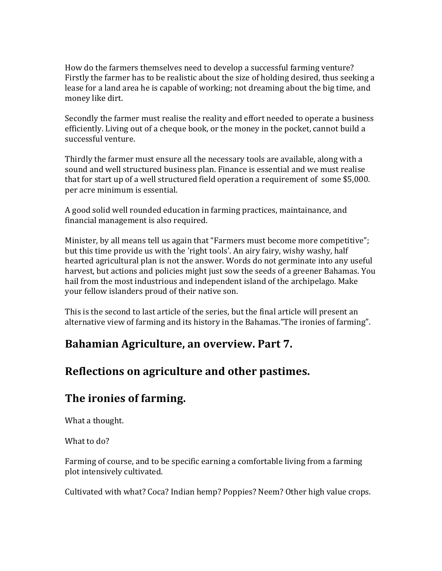How do the farmers themselves need to develop a successful farming venture? Firstly the farmer has to be realistic about the size of holding desired, thus seeking a lease for a land area he is capable of working; not dreaming about the big time, and money like dirt.

Secondly the farmer must realise the reality and effort needed to operate a business efficiently. Living out of a cheque book, or the money in the pocket, cannot build a successful venture.

Thirdly the farmer must ensure all the necessary tools are available, along with a sound and well structured business plan. Finance is essential and we must realise that for start up of a well structured field operation a requirement of some \$5,000. per acre minimum is essential.

A good solid well rounded education in farming practices, maintainance, and financial management is also required.

Minister, by all means tell us again that "Farmers must become more competitive"; but this time provide us with the 'right tools'. An airy fairy, wishy washy, half hearted agricultural plan is not the answer. Words do not germinate into any useful harvest, but actions and policies might just sow the seeds of a greener Bahamas. You hail from the most industrious and independent island of the archipelago. Make your fellow islanders proud of their native son.

This is the second to last article of the series, but the final article will present an alternative view of farming and its history in the Bahamas."The ironies of farming".

#### **Bahamian Agriculture, an overview. Part 7.**

#### Reflections on agriculture and other pastimes.

# **The ironies of farming.**

What a thought.

What to do?

Farming of course, and to be specific earning a comfortable living from a farming plot intensively cultivated.

Cultivated with what? Coca? Indian hemp? Poppies? Neem? Other high value crops.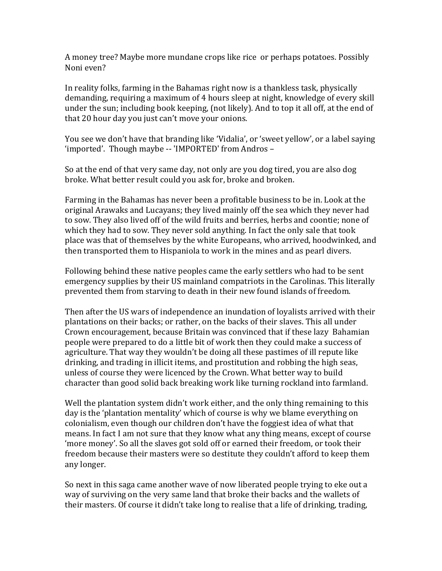A money tree? Maybe more mundane crops like rice or perhaps potatoes. Possibly Noni even?

In reality folks, farming in the Bahamas right now is a thankless task, physically demanding, requiring a maximum of 4 hours sleep at night, knowledge of every skill under the sun; including book keeping, (not likely). And to top it all off, at the end of that 20 hour day you just can't move your onions.

You see we don't have that branding like 'Vidalia', or 'sweet yellow', or a label saying 'imported'. Though maybe -- 'IMPORTED' from Andros -

So at the end of that very same day, not only are you dog tired, you are also dog broke. What better result could you ask for, broke and broken.

Farming in the Bahamas has never been a profitable business to be in. Look at the original Arawaks and Lucayans; they lived mainly off the sea which they never had to sow. They also lived off of the wild fruits and berries, herbs and coontie; none of which they had to sow. They never sold anything. In fact the only sale that took place was that of themselves by the white Europeans, who arrived, hoodwinked, and then transported them to Hispaniola to work in the mines and as pearl divers.

Following behind these native peoples came the early settlers who had to be sent emergency supplies by their US mainland compatriots in the Carolinas. This literally prevented them from starving to death in their new found islands of freedom.

Then after the US wars of independence an inundation of loyalists arrived with their plantations on their backs; or rather, on the backs of their slaves. This all under Crown encouragement, because Britain was convinced that if these lazy Bahamian people were prepared to do a little bit of work then they could make a success of agriculture. That way they wouldn't be doing all these pastimes of ill repute like drinking, and trading in illicit items, and prostitution and robbing the high seas, unless of course they were licenced by the Crown. What better way to build character than good solid back breaking work like turning rockland into farmland.

Well the plantation system didn't work either, and the only thing remaining to this day is the 'plantation mentality' which of course is why we blame everything on colonialism, even though our children don't have the foggiest idea of what that means. In fact I am not sure that they know what any thing means, except of course 'more money'. So all the slaves got sold off or earned their freedom, or took their freedom because their masters were so destitute they couldn't afford to keep them any longer.

So next in this saga came another wave of now liberated people trying to eke out a way of surviving on the very same land that broke their backs and the wallets of their masters. Of course it didn't take long to realise that a life of drinking, trading,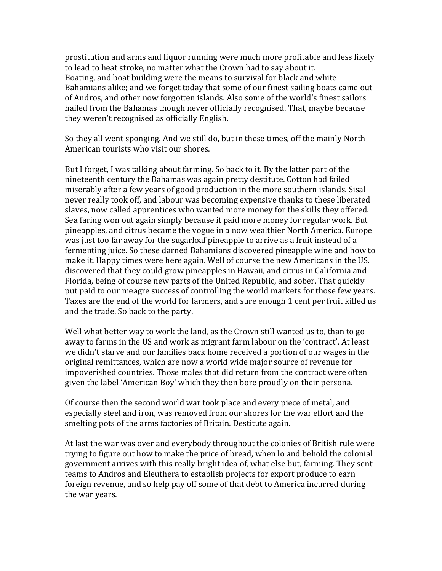prostitution and arms and liquor running were much more profitable and less likely to lead to heat stroke, no matter what the Crown had to say about it. Boating, and boat building were the means to survival for black and white Bahamians alike; and we forget today that some of our finest sailing boats came out of Andros, and other now forgotten islands. Also some of the world's finest sailors hailed from the Bahamas though never officially recognised. That, maybe because they weren't recognised as officially English.

So they all went sponging. And we still do, but in these times, off the mainly North American tourists who visit our shores.

But I forget, I was talking about farming. So back to it. By the latter part of the nineteenth century the Bahamas was again pretty destitute. Cotton had failed miserably after a few years of good production in the more southern islands. Sisal never really took off, and labour was becoming expensive thanks to these liberated slaves, now called apprentices who wanted more money for the skills they offered. Sea faring won out again simply because it paid more money for regular work. But pineapples, and citrus became the vogue in a now wealthier North America. Europe was just too far away for the sugarloaf pineapple to arrive as a fruit instead of a fermenting juice. So these darned Bahamians discovered pineapple wine and how to make it. Happy times were here again. Well of course the new Americans in the US. discovered that they could grow pineapples in Hawaii, and citrus in California and Florida, being of course new parts of the United Republic, and sober. That quickly put paid to our meagre success of controlling the world markets for those few years. Taxes are the end of the world for farmers, and sure enough 1 cent per fruit killed us and the trade. So back to the party.

Well what better way to work the land, as the Crown still wanted us to, than to go away to farms in the US and work as migrant farm labour on the 'contract'. At least we didn't starve and our families back home received a portion of our wages in the original remittances, which are now a world wide major source of revenue for impoverished countries. Those males that did return from the contract were often given the label 'American Boy' which they then bore proudly on their persona.

Of course then the second world war took place and every piece of metal, and especially steel and iron, was removed from our shores for the war effort and the smelting pots of the arms factories of Britain. Destitute again.

At last the war was over and everybody throughout the colonies of British rule were trying to figure out how to make the price of bread, when lo and behold the colonial government arrives with this really bright idea of, what else but, farming. They sent teams to Andros and Eleuthera to establish projects for export produce to earn foreign revenue, and so help pay off some of that debt to America incurred during the war years.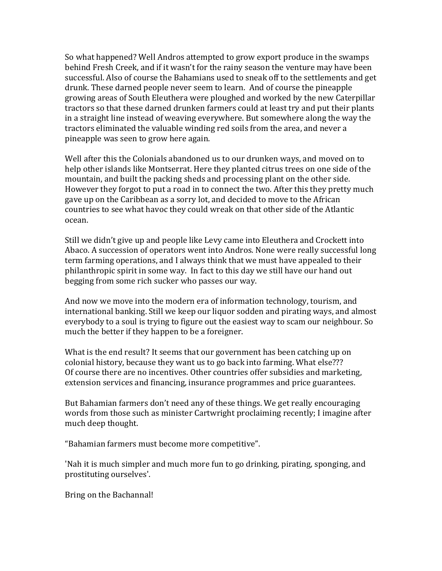So what happened? Well Andros attempted to grow export produce in the swamps behind Fresh Creek, and if it wasn't for the rainy season the venture may have been successful. Also of course the Bahamians used to sneak off to the settlements and get drunk. These darned people never seem to learn. And of course the pineapple growing areas of South Eleuthera were ploughed and worked by the new Caterpillar tractors so that these darned drunken farmers could at least try and put their plants in a straight line instead of weaving everywhere. But somewhere along the way the tractors eliminated the valuable winding red soils from the area, and never a pineapple was seen to grow here again.

Well after this the Colonials abandoned us to our drunken ways, and moved on to help other islands like Montserrat. Here they planted citrus trees on one side of the mountain, and built the packing sheds and processing plant on the other side. However they forgot to put a road in to connect the two. After this they pretty much gave up on the Caribbean as a sorry lot, and decided to move to the African countries to see what havoc they could wreak on that other side of the Atlantic ocean.

Still we didn't give up and people like Levy came into Eleuthera and Crockett into Abaco. A succession of operators went into Andros. None were really successful long term farming operations, and I always think that we must have appealed to their philanthropic spirit in some way. In fact to this day we still have our hand out begging from some rich sucker who passes our way.

And now we move into the modern era of information technology, tourism, and international banking. Still we keep our liquor sodden and pirating ways, and almost everybody to a soul is trying to figure out the easiest way to scam our neighbour. So much the better if they happen to be a foreigner.

What is the end result? It seems that our government has been catching up on colonial history, because they want us to go back into farming. What else??? Of course there are no incentives. Other countries offer subsidies and marketing, extension services and financing, insurance programmes and price guarantees.

But Bahamian farmers don't need any of these things. We get really encouraging words from those such as minister Cartwright proclaiming recently; I imagine after much deep thought.

"Bahamian farmers must become more competitive".

'Nah it is much simpler and much more fun to go drinking, pirating, sponging, and prostituting ourselves'.

Bring on the Bachannal!